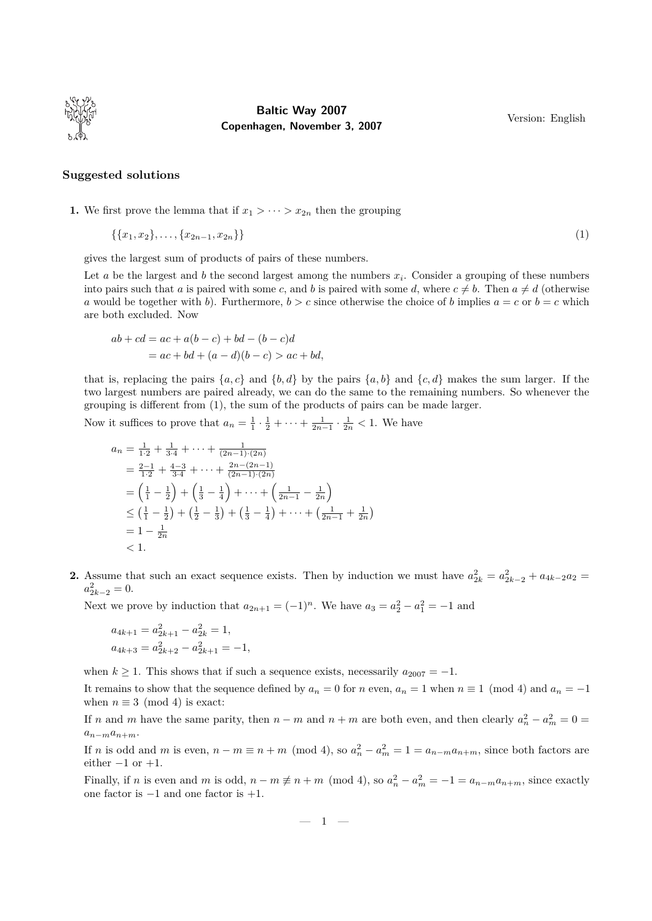

## **Baltic Way 2007 Copenhagen, November 3, 2007**

Version: English

## **Suggested solutions**

**1.** We first prove the lemma that if  $x_1 > \cdots > x_{2n}$  then the grouping

$$
\{\{x_1, x_2\}, \ldots, \{x_{2n-1}, x_{2n}\}\}\tag{1}
$$

gives the largest sum of products of pairs of these numbers.

Let  $a$  be the largest and  $b$  the second largest among the numbers  $x_i$ . Consider a grouping of these numbers into pairs such that *a* is paired with some *c*, and *b* is paired with some *d*, where  $c \neq b$ . Then  $a \neq d$  (otherwise *a* would be together with *b*). Furthermore,  $b > c$  since otherwise the choice of *b* implies  $a = c$  or  $b = c$  which are both excluded. Now

$$
ab + cd = ac + a(b - c) + bd - (b - c)d
$$
  
= ac + bd + (a - d)(b - c) > ac + bd,

that is, replacing the pairs  $\{a, c\}$  and  $\{b, d\}$  by the pairs  $\{a, b\}$  and  $\{c, d\}$  makes the sum larger. If the two largest numbers are paired already, we can do the same to the remaining numbers. So whenever the grouping is different from (1), the sum of the products of pairs can be made larger.

Now it suffices to prove that  $a_n = \frac{1}{1} \cdot \frac{1}{2} + \cdots + \frac{1}{2n-1} \cdot \frac{1}{2n} < 1$ . We have

$$
a_n = \frac{1}{1 \cdot 2} + \frac{1}{3 \cdot 4} + \dots + \frac{1}{(2n-1) \cdot (2n)}
$$
  
\n
$$
= \frac{2-1}{1 \cdot 2} + \frac{4-3}{3 \cdot 4} + \dots + \frac{2n - (2n-1)}{(2n-1) \cdot (2n)}
$$
  
\n
$$
= \left(\frac{1}{1} - \frac{1}{2}\right) + \left(\frac{1}{3} - \frac{1}{4}\right) + \dots + \left(\frac{1}{2n-1} - \frac{1}{2n}\right)
$$
  
\n
$$
\leq \left(\frac{1}{1} - \frac{1}{2}\right) + \left(\frac{1}{2} - \frac{1}{3}\right) + \left(\frac{1}{3} - \frac{1}{4}\right) + \dots + \left(\frac{1}{2n-1} + \frac{1}{2n}\right)
$$
  
\n
$$
= 1 - \frac{1}{2n}
$$
  
\n
$$
< 1.
$$

**2.** Assume that such an exact sequence exists. Then by induction we must have  $a_{2k}^2 = a_{2k-2}^2 + a_{4k-2}a_2 =$  $a_{2k-2}^2 = 0.$ 

Next we prove by induction that  $a_{2n+1} = (-1)^n$ . We have  $a_3 = a_2^2 - a_1^2 = -1$  and

$$
a_{4k+1} = a_{2k+1}^2 - a_{2k}^2 = 1,
$$
  

$$
a_{4k+3} = a_{2k+2}^2 - a_{2k+1}^2 = -1,
$$

when  $k \geq 1$ . This shows that if such a sequence exists, necessarily  $a_{2007} = -1$ .

It remains to show that the sequence defined by  $a_n = 0$  for *n* even,  $a_n = 1$  when  $n \equiv 1 \pmod{4}$  and  $a_n = -1$ when  $n \equiv 3 \pmod{4}$  is exact:

If *n* and *m* have the same parity, then  $n - m$  and  $n + m$  are both even, and then clearly  $a_n^2 - a_m^2 = 0$  $a_{n-m}a_{n+m}$ 

If *n* is odd and *m* is even,  $n - m \equiv n + m \pmod{4}$ , so  $a_n^2 - a_m^2 = 1 = a_{n-m}a_{n+m}$ , since both factors are either *−*1 or +1.

Finally, if *n* is even and *m* is odd,  $n - m \neq n + m \pmod{4}$ , so  $a_n^2 - a_m^2 = -1 = a_{n-m}a_{n+m}$ , since exactly one factor is *−*1 and one factor is +1.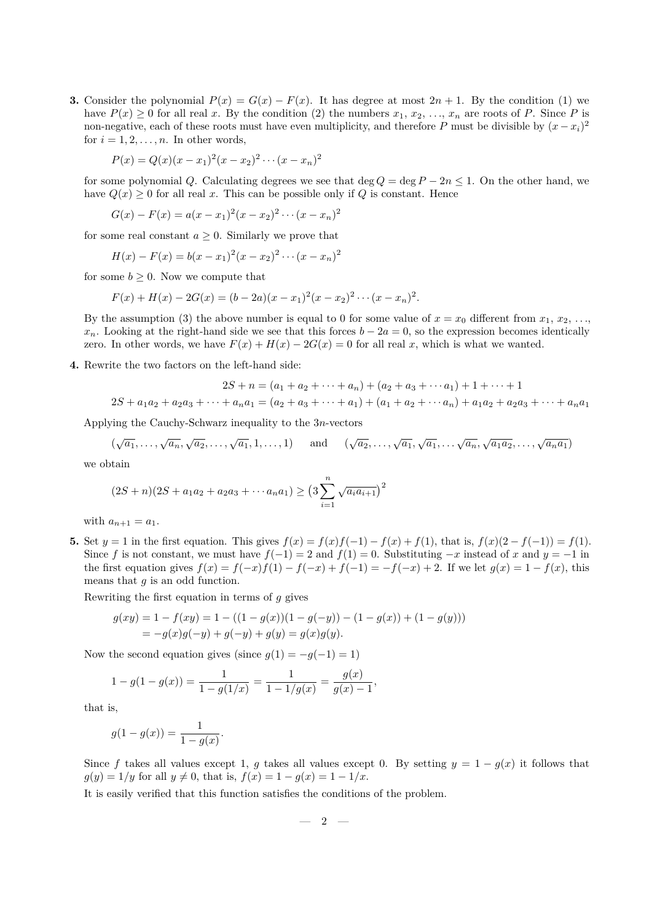**3.** Consider the polynomial  $P(x) = G(x) - F(x)$ . It has degree at most  $2n + 1$ . By the condition (1) we have  $P(x) \geq 0$  for all real *x*. By the condition (2) the numbers  $x_1, x_2, \ldots, x_n$  are roots of *P*. Since *P* is non-negative, each of these roots must have even multiplicity, and therefore *P* must be divisible by  $(x - x_i)^2$ for  $i = 1, 2, \ldots, n$ . In other words,

$$
P(x) = Q(x)(x - x_1)^2(x - x_2)^2 \cdots (x - x_n)^2
$$

for some polynomial *Q*. Calculating degrees we see that deg  $Q = \deg P - 2n \leq 1$ . On the other hand, we have  $Q(x) \geq 0$  for all real *x*. This can be possible only if *Q* is constant. Hence

$$
G(x) - F(x) = a(x - x_1)^2 (x - x_2)^2 \cdots (x - x_n)^2
$$

for some real constant  $a > 0$ . Similarly we prove that

$$
H(x) - F(x) = b(x - x_1)^2 (x - x_2)^2 \cdots (x - x_n)^2
$$

for some  $b \geq 0$ . Now we compute that

$$
F(x) + H(x) - 2G(x) = (b - 2a)(x - x_1)^2(x - x_2)^2 \cdots (x - x_n)^2.
$$

By the assumption (3) the above number is equal to 0 for some value of  $x = x_0$  different from  $x_1, x_2, \ldots$ *x*<sub>*n*</sub>. Looking at the right-hand side we see that this forces *b* − 2*a* = 0, so the expression becomes identically zero. In other words, we have  $F(x) + H(x) - 2G(x) = 0$  for all real *x*, which is what we wanted.

**4.** Rewrite the two factors on the left-hand side:

$$
2S + n = (a_1 + a_2 + \dots + a_n) + (a_2 + a_3 + \dots + a_1) + 1 + \dots + 1
$$
  

$$
2S + a_1a_2 + a_2a_3 + \dots + a_na_1 = (a_2 + a_3 + \dots + a_1) + (a_1 + a_2 + \dots + a_n) + a_1a_2 + a_2a_3 + \dots + a_na_1
$$

Applying the Cauchy-Schwarz inequality to the 3*n*-vectors

$$
(\sqrt{a_1}, \ldots, \sqrt{a_n}, \sqrt{a_2}, \ldots, \sqrt{a_1}, 1, \ldots, 1)
$$
 and  $(\sqrt{a_2}, \ldots, \sqrt{a_1}, \sqrt{a_1}, \ldots, \sqrt{a_n}, \sqrt{a_1 a_2}, \ldots, \sqrt{a_n a_1})$ 

we obtain

$$
(2S+n)(2S+a_1a_2+a_2a_3+\cdots a_na_1) \geq \left(3\sum_{i=1}^n \sqrt{a_ia_{i+1}}\right)^2
$$

with  $a_{n+1} = a_1$ .

5. Set  $y = 1$  in the first equation. This gives  $f(x) = f(x)f(-1) - f(x) + f(1)$ , that is,  $f(x)(2 - f(-1)) = f(1)$ . Since *f* is not constant, we must have  $f(-1) = 2$  and  $f(1) = 0$ . Substituting  $-x$  instead of *x* and  $y = -1$  in the first equation gives  $f(x) = f(-x)f(1) - f(-x) + f(-1) = -f(-x) + 2$ . If we let  $g(x) = 1 - f(x)$ , this means that *g* is an odd function.

Rewriting the first equation in terms of *g* gives

$$
g(xy) = 1 - f(xy) = 1 - ((1 - g(x))(1 - g(-y)) - (1 - g(x)) + (1 - g(y)))
$$
  
=  $-g(x)g(-y) + g(-y) + g(y) = g(x)g(y).$ 

Now the second equation gives (since  $g(1) = -g(-1) = 1$ )

$$
1 - g(1 - g(x)) = \frac{1}{1 - g(1/x)} = \frac{1}{1 - 1/g(x)} = \frac{g(x)}{g(x) - 1},
$$

that is,

$$
g(1 - g(x)) = \frac{1}{1 - g(x)}.
$$

Since *f* takes all values except 1, *g* takes all values except 0. By setting  $y = 1 - g(x)$  it follows that  $q(y) = 1/y$  for all  $y \neq 0$ , that is,  $f(x) = 1 - q(x) = 1 - 1/x$ .

It is easily verified that this function satisfies the conditions of the problem.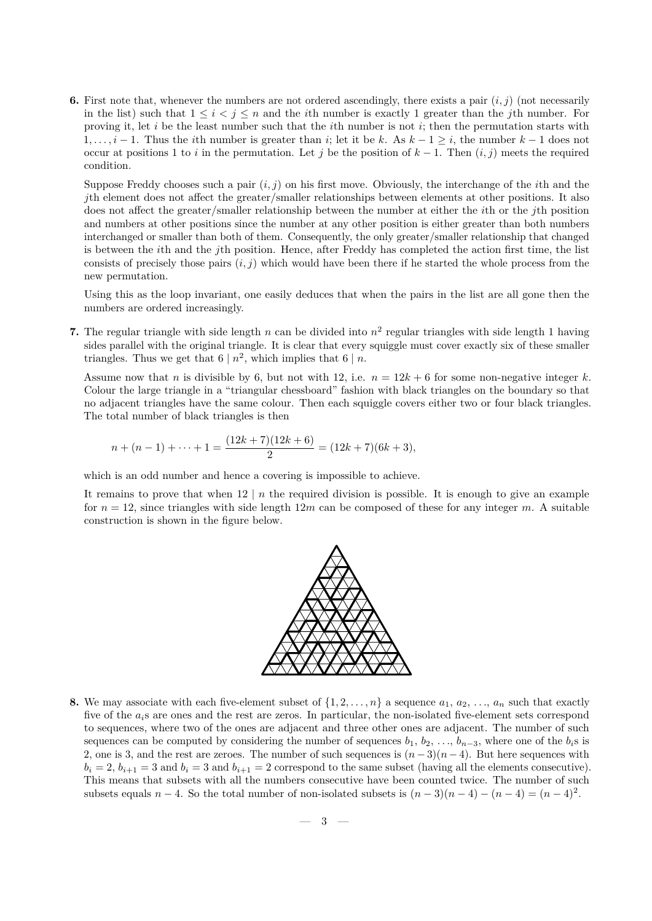**6.** First note that, whenever the numbers are not ordered ascendingly, there exists a pair (*i, j*) (not necessarily in the list) such that  $1 \leq i < j \leq n$  and the *i*th number is exactly 1 greater than the *j*th number. For proving it, let *i* be the least number such that the *i*th number is not *i*; then the permutation starts with 1*, . . . , i −* 1. Thus the *i*th number is greater than *i*; let it be *k*. As *k −* 1 *≥ i*, the number *k −* 1 does not occur at positions 1 to *i* in the permutation. Let *j* be the position of  $k-1$ . Then  $(i, j)$  meets the required condition.

Suppose Freddy chooses such a pair  $(i, j)$  on his first move. Obviously, the interchange of the *i*th and the *j*th element does not affect the greater/smaller relationships between elements at other positions. It also does not affect the greater/smaller relationship between the number at either the *i*th or the *j*th position and numbers at other positions since the number at any other position is either greater than both numbers interchanged or smaller than both of them. Consequently, the only greater/smaller relationship that changed is between the *i*th and the *j*th position. Hence, after Freddy has completed the action first time, the list consists of precisely those pairs  $(i, j)$  which would have been there if he started the whole process from the new permutation.

Using this as the loop invariant, one easily deduces that when the pairs in the list are all gone then the numbers are ordered increasingly.

**7.** The regular triangle with side length  $n$  can be divided into  $n^2$  regular triangles with side length 1 having sides parallel with the original triangle. It is clear that every squiggle must cover exactly six of these smaller triangles. Thus we get that  $6 | n^2$ , which implies that  $6 | n$ .

Assume now that *n* is divisible by 6, but not with 12, i.e.  $n = 12k + 6$  for some non-negative integer k. Colour the large triangle in a "triangular chessboard" fashion with black triangles on the boundary so that no adjacent triangles have the same colour. Then each squiggle covers either two or four black triangles. The total number of black triangles is then

$$
n + (n - 1) + \dots + 1 = \frac{(12k + 7)(12k + 6)}{2} = (12k + 7)(6k + 3),
$$

which is an odd number and hence a covering is impossible to achieve.

It remains to prove that when  $12 \mid n$  the required division is possible. It is enough to give an example for  $n = 12$ , since triangles with side length  $12m$  can be composed of these for any integer m. A suitable construction is shown in the figure below.



**8.** We may associate with each five-element subset of  $\{1, 2, \ldots, n\}$  a sequence  $a_1, a_2, \ldots, a_n$  such that exactly five of the *ai*s are ones and the rest are zeros. In particular, the non-isolated five-element sets correspond to sequences, where two of the ones are adjacent and three other ones are adjacent. The number of such sequences can be computed by considering the number of sequences  $b_1, b_2, \ldots, b_{n-3}$ , where one of the  $b_i$ s is 2, one is 3, and the rest are zeroes. The number of such sequences is  $(n-3)(n-4)$ . But here sequences with  $b_i = 2$ ,  $b_{i+1} = 3$  and  $b_i = 3$  and  $b_{i+1} = 2$  correspond to the same subset (having all the elements consecutive). This means that subsets with all the numbers consecutive have been counted twice. The number of such subsets equals  $n-4$ . So the total number of non-isolated subsets is  $(n-3)(n-4) - (n-4) = (n-4)^2$ .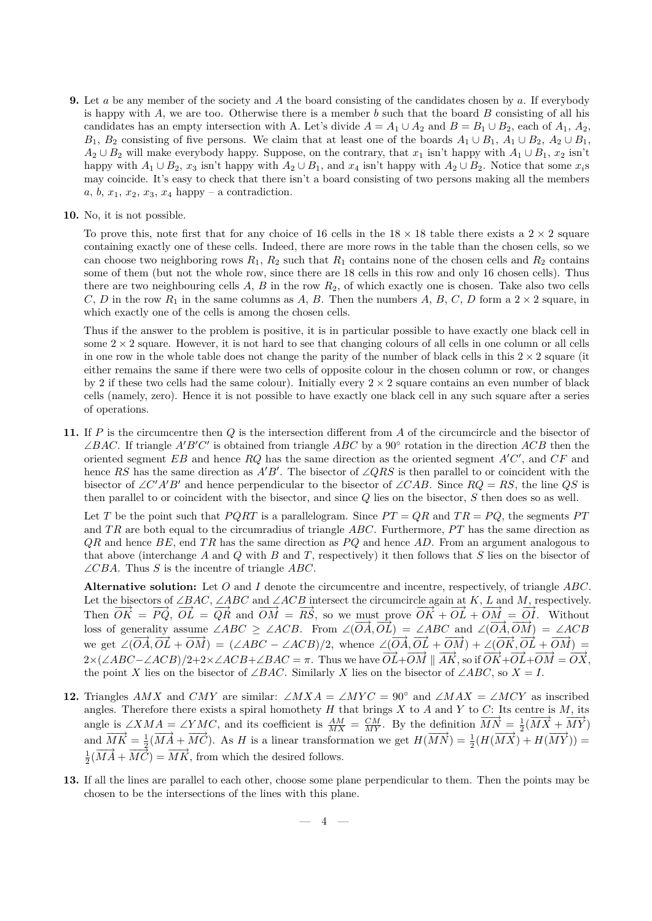- **9.** Let *a* be any member of the society and *A* the board consisting of the candidates chosen by *a*. If everybody is happy with *A*, we are too. Otherwise there is a member *b* such that the board *B* consisting of all his candidates has an empty intersection with A. Let's divide  $A = A_1 \cup A_2$  and  $B = B_1 \cup B_2$ , each of  $A_1, A_2$ , *B*<sub>1</sub>, *B*<sub>2</sub> consisting of five persons. We claim that at least one of the boards  $A_1 \cup B_1$ ,  $A_1 \cup B_2$ ,  $A_2 \cup B_1$ ,  $A_2$  *∪*  $B_2$  will make everybody happy. Suppose, on the contrary, that  $x_1$  isn't happy with  $A_1$  *∪*  $B_1$ ,  $x_2$  isn't happy with  $A_1 \cup B_2$ ,  $x_3$  isn't happy with  $A_2 \cup B_1$ , and  $x_4$  isn't happy with  $A_2 \cup B_2$ . Notice that some  $x_i$ s may coincide. It's easy to check that there isn't a board consisting of two persons making all the members  $a, b, x_1, x_2, x_3, x_4$  happy – a contradiction.
- **10.** No, it is not possible.

To prove this, note first that for any choice of 16 cells in the  $18 \times 18$  table there exists a  $2 \times 2$  square containing exactly one of these cells. Indeed, there are more rows in the table than the chosen cells, so we can choose two neighboring rows  $R_1, R_2$  such that  $R_1$  contains none of the chosen cells and  $R_2$  contains some of them (but not the whole row, since there are 18 cells in this row and only 16 chosen cells). Thus there are two neighbouring cells *A*, *B* in the row *R*2, of which exactly one is chosen. Take also two cells *C*, *D* in the row  $R_1$  in the same columns as *A*, *B*. Then the numbers *A*, *B*, *C*, *D* form a 2  $\times$  2 square, in which exactly one of the cells is among the chosen cells.

Thus if the answer to the problem is positive, it is in particular possible to have exactly one black cell in some  $2 \times 2$  square. However, it is not hard to see that changing colours of all cells in one column or all cells in one row in the whole table does not change the parity of the number of black cells in this  $2 \times 2$  square (it either remains the same if there were two cells of opposite colour in the chosen column or row, or changes by 2 if these two cells had the same colour). Initially every  $2 \times 2$  square contains an even number of black cells (namely, zero). Hence it is not possible to have exactly one black cell in any such square after a series of operations.

**11.** If *P* is the circumcentre then *Q* is the intersection different from *A* of the circumcircle and the bisector of  $\angle BAC$ . If triangle  $A'B'C'$  is obtained from triangle  $ABC$  by a 90<sup>°</sup> rotation in the direction  $ACB$  then the oriented segment  $EB$  and hence  $RQ$  has the same direction as the oriented segment  $A'C'$ , and  $CF$  and hence *RS* has the same direction as  $A'B'$ . The bisector of ∠*QRS* is then parallel to or coincident with the bisector of ∠*C'A'B'* and hence perpendicular to the bisector of ∠*CAB*. Since  $RQ = RS$ , the line  $QS$  is then parallel to or coincident with the bisector, and since *Q* lies on the bisector, *S* then does so as well.

Let *T* be the point such that *PQRT* is a parallelogram. Since  $PT = QR$  and  $TR = PQ$ , the segments *PT* and *TR* are both equal to the circumradius of triangle *ABC*. Furthermore, PT has the same direction as *QR* and hence *BE*, end *T R* has the same direction as *P Q* and hence *AD*. From an argument analogous to that above (interchange *A* and *Q* with *B* and *T*, respectively) it then follows that *S* lies on the bisector of ∠*CBA*. Thus *S* is the incentre of triangle *ABC*.

**Alternative solution:** Let *O* and *I* denote the circumcentre and incentre, respectively, of triangle *ABC*. Let the bisectors of ∠*BAC*, ∠*ABC* and ∠*ACB* intersect the circumcircle again at *K*, *L* and *M*, respectively. Then  $\overrightarrow{OK} = \overrightarrow{PQ}$ ,  $\overrightarrow{OL} = \overrightarrow{QR}$  and  $\overrightarrow{OM} = \overrightarrow{RS}$ , so we must prove  $\overrightarrow{OK} + \overrightarrow{OL} + \overrightarrow{OM} = \overrightarrow{OI}$ . Without  $\angle ABC \geq \angle ACB$ . From ∠( $\overrightarrow{OA}$ ,  $\overrightarrow{OL}$ ) = ∠*ABC* and ∠( $\overrightarrow{OA}$ ,  $\overrightarrow{OM}$ ) = ∠*ACB*. we get  $\angle(\overrightarrow{OA}, \overrightarrow{OL} + \overrightarrow{OM}) = (\angle ABC - \angle ACB)/2$ , whence  $\angle(\overrightarrow{OA}, \overrightarrow{OL} + \overrightarrow{OM}) + \angle(\overrightarrow{OK}, \overrightarrow{OL} + \overrightarrow{OM})$  $2 \times (\angle ABC - \angle ACB)/2 + 2 \times \angle ACB + \angle BAC = \pi$ . Thus we have  $\overrightarrow{OL} + \overrightarrow{OM} \parallel \overrightarrow{AK}$ , so if  $\overrightarrow{OK} + \overrightarrow{OL} + \overrightarrow{OM} = \overrightarrow{OX}$ , the point *X* lies on the bisector of ∠*BAC*. Similarly *X* lies on the bisector of ∠*ABC*, so  $X = I$ .

- **12.** Triangles *AMX* and *CMY* are similar: ∠*MXA* = ∠*MYC* = 90<sup>°</sup> and ∠*MAX* = ∠*MCY* as inscribed angles. Therefore there exists a spiral homothety *H* that brings *X* to *A* and *Y* to *C*: Its centre is *M*, its angle is  $\angle XMA = \angle YMC$ , and its coefficient is  $\frac{AM}{MX} = \frac{CM}{MY}$ . By the definition  $\overrightarrow{MN} = \frac{1}{2}(\overrightarrow{MX} + \overrightarrow{MY})$ and  $\overrightarrow{MK} = \frac{1}{2}(\overrightarrow{MA} + \overrightarrow{MC})$ . As H is a linear transformation we get  $H(\overrightarrow{MN}) = \frac{1}{2}(H(\overrightarrow{MX}) + H(\overrightarrow{MY})) =$  $\frac{1}{2}(\overrightarrow{MA} + \overrightarrow{MC}) = \overrightarrow{MK}$ , from which the desired follows.
- **13.** If all the lines are parallel to each other, choose some plane perpendicular to them. Then the points may be chosen to be the intersections of the lines with this plane.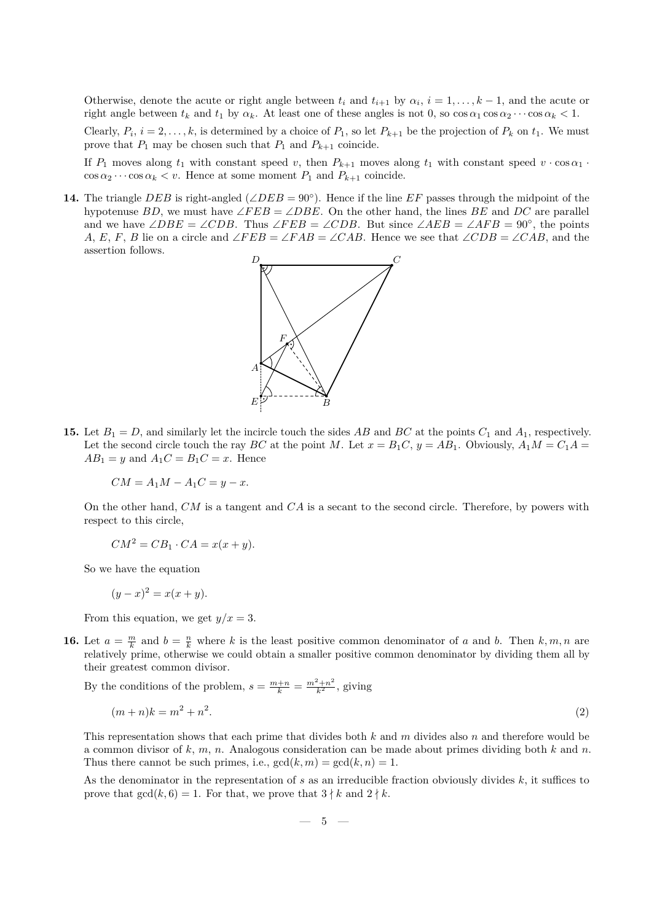Otherwise, denote the acute or right angle between  $t_i$  and  $t_{i+1}$  by  $\alpha_i$ ,  $i = 1, \ldots, k-1$ , and the acute or right angle between  $t_k$  and  $t_1$  by  $\alpha_k$ . At least one of these angles is not 0, so  $\cos \alpha_1 \cos \alpha_2 \cdots \cos \alpha_k < 1$ .

Clearly,  $P_i$ ,  $i = 2, \ldots, k$ , is determined by a choice of  $P_1$ , so let  $P_{k+1}$  be the projection of  $P_k$  on  $t_1$ . We must prove that  $P_1$  may be chosen such that  $P_1$  and  $P_{k+1}$  coincide.

If  $P_1$  moves along  $t_1$  with constant speed *v*, then  $P_{k+1}$  moves along  $t_1$  with constant speed  $v \cdot \cos \alpha_1$ .  $\cos \alpha_2 \cdots \cos \alpha_k \leq v$ . Hence at some moment  $P_1$  and  $P_{k+1}$  coincide.

**14.** The triangle  $DEB$  is right-angled (∠*DEB* = 90°). Hence if the line  $EF$  passes through the midpoint of the hypotenuse *BD*, we must have ∠*FEB* = ∠*DBE*. On the other hand, the lines *BE* and *DC* are parallel and we have  $\angle DBE = \angle CDB$ . Thus  $\angle FEB = \angle CDB$ . But since  $\angle AEB = \angle AFB = 90^\circ$ , the points *A*, *E*, *F*, *B* lie on a circle and ∠*FEB* = ∠*FAB* = ∠*CAB*. Hence we see that ∠*CDB* = ∠*CAB*, and the assertion follows.



**15.** Let  $B_1 = D$ , and similarly let the incircle touch the sides AB and BC at the points  $C_1$  and  $A_1$ , respectively. Let the second circle touch the ray *BC* at the point *M*. Let  $x = B_1C$ ,  $y = AB_1$ . Obviously,  $A_1M = C_1A$  $AB_1 = y$  and  $A_1C = B_1C = x$ . Hence

$$
CM = A_1M - A_1C = y - x.
$$

On the other hand, *CM* is a tangent and *CA* is a secant to the second circle. Therefore, by powers with respect to this circle,

$$
CM^2 = CB_1 \cdot CA = x(x + y).
$$

So we have the equation

$$
(y-x)^2 = x(x+y).
$$

From this equation, we get  $y/x = 3$ .

**16.** Let  $a = \frac{m}{k}$  and  $b = \frac{n}{k}$  where *k* is the least positive common denominator of *a* and *b*. Then  $k, m, n$  are relatively prime, otherwise we could obtain a smaller positive common denominator by dividing them all by their greatest common divisor.

By the conditions of the problem,  $s = \frac{m+n}{k} = \frac{m^2+n^2}{k^2}$ , giving

$$
(m+n)k = m^2 + n^2.
$$
 (2)

This representation shows that each prime that divides both *k* and *m* divides also *n* and therefore would be a common divisor of *k*, *m*, *n*. Analogous consideration can be made about primes dividing both *k* and *n*. Thus there cannot be such primes, i.e.,  $gcd(k, m) = gcd(k, n) = 1$ .

As the denominator in the representation of *s* as an irreducible fraction obviously divides *k*, it suffices to prove that  $gcd(k, 6) = 1$ . For that, we prove that  $3 \nmid k$  and  $2 \nmid k$ .

$$
- \phantom{1}5 \phantom{.00} -
$$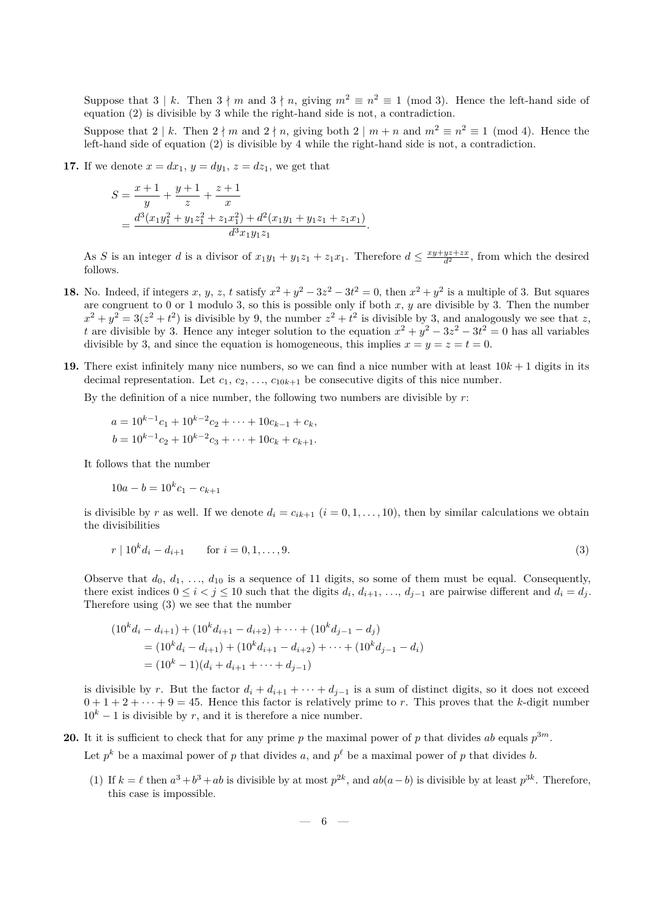Suppose that  $3 \nmid k$ . Then  $3 \nmid m$  and  $3 \nmid n$ , giving  $m^2 \equiv n^2 \equiv 1 \pmod{3}$ . Hence the left-hand side of equation (2) is divisible by 3 while the right-hand side is not, a contradiction.

Suppose that  $2 \nmid k$ . Then  $2 \nmid m$  and  $2 \nmid n$ , giving both  $2 \nmid m + n$  and  $m^2 \equiv n^2 \equiv 1 \pmod{4}$ . Hence the left-hand side of equation (2) is divisible by 4 while the right-hand side is not, a contradiction.

**17.** If we denote  $x = dx_1, y = dy_1, z = dz_1$ , we get that

$$
S = \frac{x+1}{y} + \frac{y+1}{z} + \frac{z+1}{x}
$$
  
= 
$$
\frac{d^3(x_1y_1^2 + y_1z_1^2 + z_1x_1^2) + d^2(x_1y_1 + y_1z_1 + z_1x_1)}{d^3x_1y_1z_1}.
$$

As *S* is an integer *d* is a divisor of  $x_1y_1 + y_1z_1 + z_1x_1$ . Therefore  $d \leq \frac{xy + yz + zx}{d^2}$ , from which the desired follows.

- **18.** No. Indeed, if integers *x*, *y*, *z*, *t* satisfy  $x^2 + y^2 3z^2 3t^2 = 0$ , then  $x^2 + y^2$  is a multiple of 3. But squares are congruent to 0 or 1 modulo 3, so this is possible only if both *x*, *y* are divisible by 3. Then the number  $x^2 + y^2 = 3(z^2 + t^2)$  is divisible by 9, the number  $z^2 + t^2$  is divisible by 3, and analogously we see that *z*, *t* are divisible by 3. Hence any integer solution to the equation  $x^2 + y^2 - 3z^2 - 3t^2 = 0$  has all variables divisible by 3, and since the equation is homogeneous, this implies  $x = y = z = t = 0$ .
- **19.** There exist infinitely many nice numbers, so we can find a nice number with at least  $10k + 1$  digits in its decimal representation. Let  $c_1, c_2, \ldots, c_{10k+1}$  be consecutive digits of this nice number.

By the definition of a nice number, the following two numbers are divisible by *r*:

$$
a = 10^{k-1}c_1 + 10^{k-2}c_2 + \dots + 10c_{k-1} + c_k,
$$
  
\n
$$
b = 10^{k-1}c_2 + 10^{k-2}c_3 + \dots + 10c_k + c_{k+1}.
$$

It follows that the number

$$
10a - b = 10^k c_1 - c_{k+1}
$$

is divisible by *r* as well. If we denote  $d_i = c_{ik+1}$   $(i = 0, 1, \ldots, 10)$ , then by similar calculations we obtain the divisibilities

$$
r | 10k di - di+1 \qquad \text{for } i = 0, 1, ..., 9.
$$
 (3)

Observe that  $d_0, d_1, \ldots, d_{10}$  is a sequence of 11 digits, so some of them must be equal. Consequently, there exist indices  $0 \leq i < j \leq 10$  such that the digits  $d_i, d_{i+1}, \ldots, d_{j-1}$  are pairwise different and  $d_i = d_j$ . Therefore using (3) we see that the number

$$
(10kdi - di+1) + (10kdi+1 - di+2) + \cdots + (10kdj-1 - dj)
$$
  
= (10<sup>k</sup>d<sub>i</sub> - d<sub>i+1</sub>) + (10<sup>k</sup>d<sub>i+1</sub> - d<sub>i+2</sub>) + \cdots + (10<sup>k</sup>d<sub>j-1</sub> - d<sub>i</sub>)  
= (10<sup>k</sup> - 1)(d<sub>i</sub> + d<sub>i+1</sub> + \cdots + d<sub>j-1</sub>)

is divisible by *r*. But the factor  $d_i + d_{i+1} + \cdots + d_{i-1}$  is a sum of distinct digits, so it does not exceed  $0 + 1 + 2 + \cdots + 9 = 45$ . Hence this factor is relatively prime to *r*. This proves that the *k*-digit number  $10<sup>k</sup> - 1$  is divisible by *r*, and it is therefore a nice number.

**20.** It it is sufficient to check that for any prime p the maximal power of p that divides ab equals  $p^{3m}$ .

Let  $p^k$  be a maximal power of *p* that divides *a*, and  $p^{\ell}$  be a maximal power of *p* that divides *b*.

(1) If  $k = \ell$  then  $a^3 + b^3 + ab$  is divisible by at most  $p^{2k}$ , and  $ab(a - b)$  is divisible by at least  $p^{3k}$ . Therefore, this case is impossible.